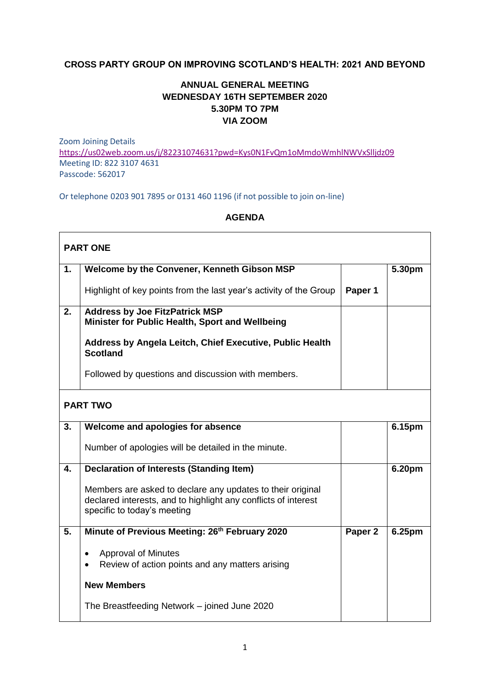## **CROSS PARTY GROUP ON IMPROVING SCOTLAND'S HEALTH: 2021 AND BEYOND**

## **ANNUAL GENERAL MEETING WEDNESDAY 16TH SEPTEMBER 2020 5.30PM TO 7PM VIA ZOOM**

Zoom Joining Details <https://us02web.zoom.us/j/82231074631?pwd=Kys0N1FvQm1oMmdoWmhlNWVxSlljdz09> Meeting ID: 822 3107 4631 Passcode: 562017

Or telephone 0203 901 7895 or 0131 460 1196 (if not possible to join on-line)

## **AGENDA**

| <b>PART ONE</b> |                                                                                                                                                             |                    |        |  |  |
|-----------------|-------------------------------------------------------------------------------------------------------------------------------------------------------------|--------------------|--------|--|--|
| 1.              | Welcome by the Convener, Kenneth Gibson MSP                                                                                                                 |                    | 5.30pm |  |  |
|                 | Highlight of key points from the last year's activity of the Group                                                                                          | Paper 1            |        |  |  |
| 2.              | <b>Address by Joe FitzPatrick MSP</b><br>Minister for Public Health, Sport and Wellbeing                                                                    |                    |        |  |  |
|                 | Address by Angela Leitch, Chief Executive, Public Health<br><b>Scotland</b>                                                                                 |                    |        |  |  |
|                 | Followed by questions and discussion with members.                                                                                                          |                    |        |  |  |
| <b>PART TWO</b> |                                                                                                                                                             |                    |        |  |  |
| 3.              | Welcome and apologies for absence                                                                                                                           |                    | 6.15pm |  |  |
|                 | Number of apologies will be detailed in the minute.                                                                                                         |                    |        |  |  |
| 4.              | <b>Declaration of Interests (Standing Item)</b>                                                                                                             |                    | 6.20pm |  |  |
|                 | Members are asked to declare any updates to their original<br>declared interests, and to highlight any conflicts of interest<br>specific to today's meeting |                    |        |  |  |
| 5.              | Minute of Previous Meeting: 26 <sup>th</sup> February 2020                                                                                                  | Paper <sub>2</sub> | 6.25pm |  |  |
|                 | <b>Approval of Minutes</b><br>Review of action points and any matters arising                                                                               |                    |        |  |  |
|                 | <b>New Members</b>                                                                                                                                          |                    |        |  |  |
|                 | The Breastfeeding Network – joined June 2020                                                                                                                |                    |        |  |  |